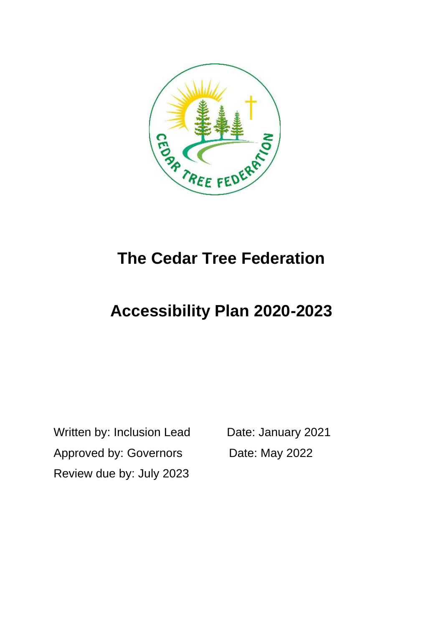

# **The Cedar Tree Federation**

# **Accessibility Plan 2020-2023**

Written by: Inclusion Lead Date: January 2021 Approved by: Governors Date: May 2022 Review due by: July 2023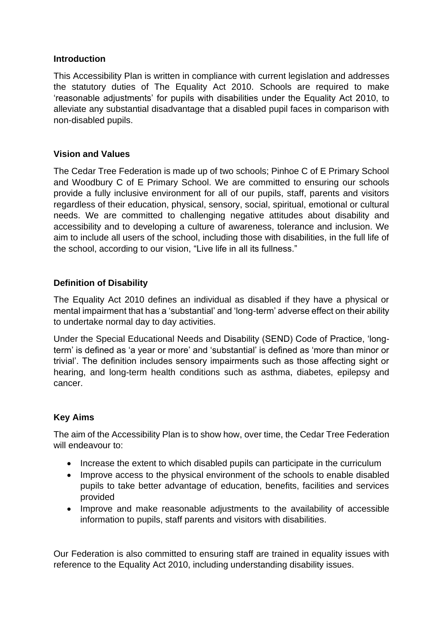#### **Introduction**

This Accessibility Plan is written in compliance with current legislation and addresses the statutory duties of The Equality Act 2010. Schools are required to make 'reasonable adjustments' for pupils with disabilities under the Equality Act 2010, to alleviate any substantial disadvantage that a disabled pupil faces in comparison with non-disabled pupils.

### **Vision and Values**

The Cedar Tree Federation is made up of two schools; Pinhoe C of E Primary School and Woodbury C of E Primary School. We are committed to ensuring our schools provide a fully inclusive environment for all of our pupils, staff, parents and visitors regardless of their education, physical, sensory, social, spiritual, emotional or cultural needs. We are committed to challenging negative attitudes about disability and accessibility and to developing a culture of awareness, tolerance and inclusion. We aim to include all users of the school, including those with disabilities, in the full life of the school, according to our vision, "Live life in all its fullness."

# **Definition of Disability**

The Equality Act 2010 defines an individual as disabled if they have a physical or mental impairment that has a 'substantial' and 'long-term' adverse effect on their ability to undertake normal day to day activities.

Under the Special Educational Needs and Disability (SEND) Code of Practice, 'longterm' is defined as 'a year or more' and 'substantial' is defined as 'more than minor or trivial'. The definition includes sensory impairments such as those affecting sight or hearing, and long-term health conditions such as asthma, diabetes, epilepsy and cancer.

# **Key Aims**

The aim of the Accessibility Plan is to show how, over time, the Cedar Tree Federation will endeavour to:

- Increase the extent to which disabled pupils can participate in the curriculum
- Improve access to the physical environment of the schools to enable disabled pupils to take better advantage of education, benefits, facilities and services provided
- Improve and make reasonable adjustments to the availability of accessible information to pupils, staff parents and visitors with disabilities.

Our Federation is also committed to ensuring staff are trained in equality issues with reference to the Equality Act 2010, including understanding disability issues.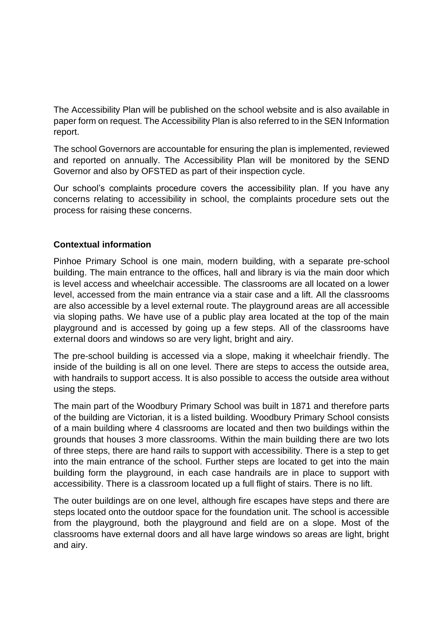The Accessibility Plan will be published on the school website and is also available in paper form on request. The Accessibility Plan is also referred to in the SEN Information report.

The school Governors are accountable for ensuring the plan is implemented, reviewed and reported on annually. The Accessibility Plan will be monitored by the SEND Governor and also by OFSTED as part of their inspection cycle.

Our school's complaints procedure covers the accessibility plan. If you have any concerns relating to accessibility in school, the complaints procedure sets out the process for raising these concerns.

# **Contextual information**

Pinhoe Primary School is one main, modern building, with a separate pre-school building. The main entrance to the offices, hall and library is via the main door which is level access and wheelchair accessible. The classrooms are all located on a lower level, accessed from the main entrance via a stair case and a lift. All the classrooms are also accessible by a level external route. The playground areas are all accessible via sloping paths. We have use of a public play area located at the top of the main playground and is accessed by going up a few steps. All of the classrooms have external doors and windows so are very light, bright and airy.

The pre-school building is accessed via a slope, making it wheelchair friendly. The inside of the building is all on one level. There are steps to access the outside area, with handrails to support access. It is also possible to access the outside area without using the steps.

The main part of the Woodbury Primary School was built in 1871 and therefore parts of the building are Victorian, it is a listed building. Woodbury Primary School consists of a main building where 4 classrooms are located and then two buildings within the grounds that houses 3 more classrooms. Within the main building there are two lots of three steps, there are hand rails to support with accessibility. There is a step to get into the main entrance of the school. Further steps are located to get into the main building form the playground, in each case handrails are in place to support with accessibility. There is a classroom located up a full flight of stairs. There is no lift.

The outer buildings are on one level, although fire escapes have steps and there are steps located onto the outdoor space for the foundation unit. The school is accessible from the playground, both the playground and field are on a slope. Most of the classrooms have external doors and all have large windows so areas are light, bright and airy.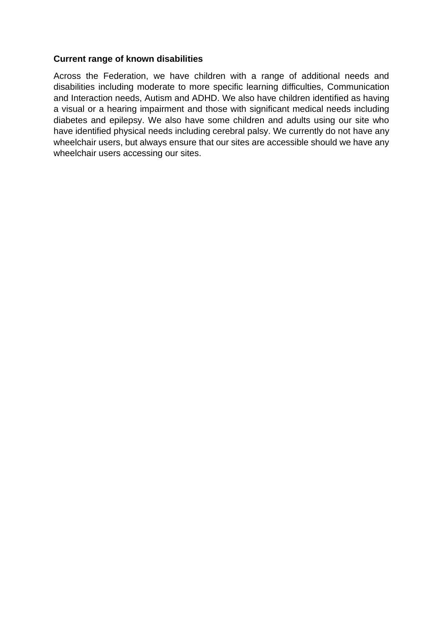### **Current range of known disabilities**

Across the Federation, we have children with a range of additional needs and disabilities including moderate to more specific learning difficulties, Communication and Interaction needs, Autism and ADHD. We also have children identified as having a visual or a hearing impairment and those with significant medical needs including diabetes and epilepsy. We also have some children and adults using our site who have identified physical needs including cerebral palsy. We currently do not have any wheelchair users, but always ensure that our sites are accessible should we have any wheelchair users accessing our sites.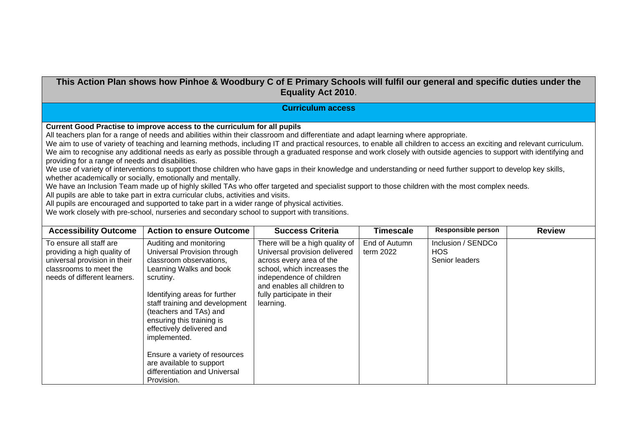### **This Action Plan shows how Pinhoe & Woodbury C of E Primary Schools will fulfil our general and specific duties under the Equality Act 2010**.

#### **Curriculum access**

**Current Good Practise to improve access to the curriculum for all pupils**

All teachers plan for a range of needs and abilities within their classroom and differentiate and adapt learning where appropriate.

We aim to use of variety of teaching and learning methods, including IT and practical resources, to enable all children to access an exciting and relevant curriculum. We aim to recognise any additional needs as early as possible through a graduated response and work closely with outside agencies to support with identifying and providing for a range of needs and disabilities.

We use of variety of interventions to support those children who have gaps in their knowledge and understanding or need further support to develop key skills, whether academically or socially, emotionally and mentally.

We have an Inclusion Team made up of highly skilled TAs who offer targeted and specialist support to those children with the most complex needs.

All pupils are able to take part in extra curricular clubs, activities and visits.

All pupils are encouraged and supported to take part in a wider range of physical activities.

We work closely with pre-school, nurseries and secondary school to support with transitions.

| <b>Accessibility Outcome</b>                                                                                                                     | <b>Action to ensure Outcome</b>                                                                                                                                                                                                                                                                                                                                                                              | <b>Success Criteria</b>                                                                                                                                                                                                           | <b>Timescale</b>           | <b>Responsible person</b>                    | <b>Review</b> |
|--------------------------------------------------------------------------------------------------------------------------------------------------|--------------------------------------------------------------------------------------------------------------------------------------------------------------------------------------------------------------------------------------------------------------------------------------------------------------------------------------------------------------------------------------------------------------|-----------------------------------------------------------------------------------------------------------------------------------------------------------------------------------------------------------------------------------|----------------------------|----------------------------------------------|---------------|
| To ensure all staff are<br>providing a high quality of<br>universal provision in their<br>classrooms to meet the<br>needs of different learners. | Auditing and monitoring<br>Universal Provision through<br>classroom observations.<br>Learning Walks and book<br>scrutiny.<br>Identifying areas for further<br>staff training and development<br>(teachers and TAs) and<br>ensuring this training is<br>effectively delivered and<br>implemented.<br>Ensure a variety of resources<br>are available to support<br>differentiation and Universal<br>Provision. | There will be a high quality of<br>Universal provision delivered<br>across every area of the<br>school, which increases the<br>independence of children<br>and enables all children to<br>fully participate in their<br>learning. | End of Autumn<br>term 2022 | Inclusion / SENDCo<br>HOS.<br>Senior leaders |               |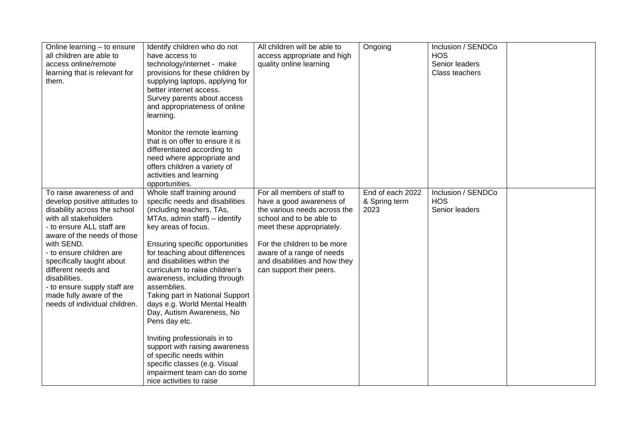| Online learning - to ensure<br>all children are able to<br>access online/remote<br>learning that is relevant for<br>them.                                                                                                                                                                                                                                                                  | Identify children who do not<br>have access to<br>technology/internet - make<br>provisions for these children by<br>supplying laptops, applying for<br>better internet access.<br>Survey parents about access<br>and appropriateness of online<br>learning.<br>Monitor the remote learning<br>that is on offer to ensure it is<br>differentiated according to<br>need where appropriate and<br>offers children a variety of<br>activities and learning                                                                                                                                                                                                                 | All children will be able to<br>access appropriate and high<br>quality online learning                                                                                                                                                                                    | Ongoing                                   | Inclusion / SENDCo<br><b>HOS</b><br>Senior leaders<br>Class teachers |  |
|--------------------------------------------------------------------------------------------------------------------------------------------------------------------------------------------------------------------------------------------------------------------------------------------------------------------------------------------------------------------------------------------|------------------------------------------------------------------------------------------------------------------------------------------------------------------------------------------------------------------------------------------------------------------------------------------------------------------------------------------------------------------------------------------------------------------------------------------------------------------------------------------------------------------------------------------------------------------------------------------------------------------------------------------------------------------------|---------------------------------------------------------------------------------------------------------------------------------------------------------------------------------------------------------------------------------------------------------------------------|-------------------------------------------|----------------------------------------------------------------------|--|
| To raise awareness of and<br>develop positive attitudes to<br>disability across the school<br>with all stakeholders<br>- to ensure ALL staff are<br>aware of the needs of those<br>with SEND.<br>- to ensure children are<br>specifically taught about<br>different needs and<br>disabilities.<br>- to ensure supply staff are<br>made fully aware of the<br>needs of individual children. | opportunities.<br>Whole staff training around<br>specific needs and disabilities<br>(including teachers, TAs,<br>MTAs, admin staff) - identify<br>key areas of focus.<br>Ensuring specific opportunities<br>for teaching about differences<br>and disabilities within the<br>curriculum to raise children's<br>awareness, including through<br>assemblies.<br>Taking part in National Support<br>days e.g. World Mental Health<br>Day, Autism Awareness, No<br>Pens day etc.<br>Inviting professionals in to<br>support with raising awareness<br>of specific needs within<br>specific classes (e.g. Visual<br>impairment team can do some<br>nice activities to raise | For all members of staff to<br>have a good awareness of<br>the various needs across the<br>school and to be able to<br>meet these appropriately.<br>For the children to be more<br>aware of a range of needs<br>and disabilities and how they<br>can support their peers. | End of each 2022<br>& Spring term<br>2023 | Inclusion / SENDCo<br><b>HOS</b><br>Senior leaders                   |  |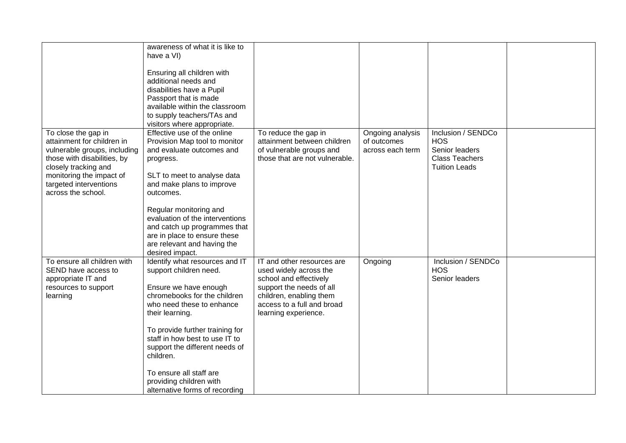|                              | awareness of what it is like to |                                |                  |                       |  |
|------------------------------|---------------------------------|--------------------------------|------------------|-----------------------|--|
|                              | have a VI)                      |                                |                  |                       |  |
|                              |                                 |                                |                  |                       |  |
|                              | Ensuring all children with      |                                |                  |                       |  |
|                              | additional needs and            |                                |                  |                       |  |
|                              | disabilities have a Pupil       |                                |                  |                       |  |
|                              | Passport that is made           |                                |                  |                       |  |
|                              | available within the classroom  |                                |                  |                       |  |
|                              | to supply teachers/TAs and      |                                |                  |                       |  |
|                              | visitors where appropriate.     |                                |                  |                       |  |
| To close the gap in          | Effective use of the online     | To reduce the gap in           | Ongoing analysis | Inclusion / SENDCo    |  |
| attainment for children in   | Provision Map tool to monitor   | attainment between children    | of outcomes      | <b>HOS</b>            |  |
| vulnerable groups, including | and evaluate outcomes and       | of vulnerable groups and       | across each term | Senior leaders        |  |
| those with disabilities, by  | progress.                       | those that are not vulnerable. |                  | <b>Class Teachers</b> |  |
| closely tracking and         |                                 |                                |                  | <b>Tuition Leads</b>  |  |
| monitoring the impact of     | SLT to meet to analyse data     |                                |                  |                       |  |
| targeted interventions       | and make plans to improve       |                                |                  |                       |  |
| across the school.           | outcomes.                       |                                |                  |                       |  |
|                              | Regular monitoring and          |                                |                  |                       |  |
|                              | evaluation of the interventions |                                |                  |                       |  |
|                              | and catch up programmes that    |                                |                  |                       |  |
|                              | are in place to ensure these    |                                |                  |                       |  |
|                              | are relevant and having the     |                                |                  |                       |  |
|                              | desired impact.                 |                                |                  |                       |  |
| To ensure all children with  | Identify what resources and IT  | IT and other resources are     | Ongoing          | Inclusion / SENDCo    |  |
| SEND have access to          | support children need.          | used widely across the         |                  | <b>HOS</b>            |  |
| appropriate IT and           |                                 | school and effectively         |                  | Senior leaders        |  |
| resources to support         | Ensure we have enough           | support the needs of all       |                  |                       |  |
| learning                     | chromebooks for the children    | children, enabling them        |                  |                       |  |
|                              | who need these to enhance       | access to a full and broad     |                  |                       |  |
|                              | their learning.                 | learning experience.           |                  |                       |  |
|                              |                                 |                                |                  |                       |  |
|                              | To provide further training for |                                |                  |                       |  |
|                              | staff in how best to use IT to  |                                |                  |                       |  |
|                              | support the different needs of  |                                |                  |                       |  |
|                              | children.                       |                                |                  |                       |  |
|                              | To ensure all staff are         |                                |                  |                       |  |
|                              | providing children with         |                                |                  |                       |  |
|                              | alternative forms of recording  |                                |                  |                       |  |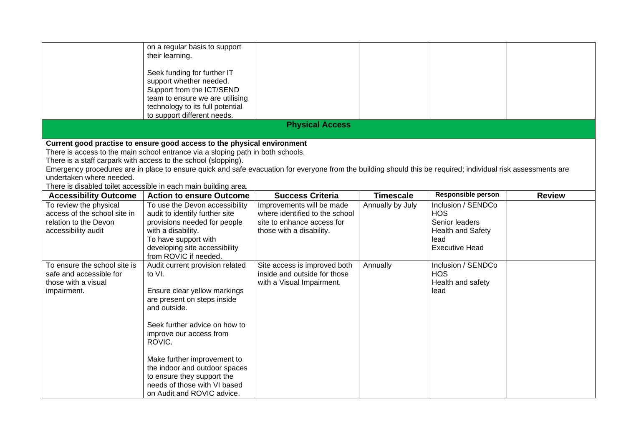|                                                                                                                                                                                                                                                                                                                                                                                                                                                                                              | on a regular basis to support<br>their learning.<br>Seek funding for further IT<br>support whether needed.<br>Support from the ICT/SEND<br>team to ensure we are utilising<br>technology to its full potential<br>to support different needs.                                                                                                              |                                                                                                                       |                  |                                                                                                                 |               |  |
|----------------------------------------------------------------------------------------------------------------------------------------------------------------------------------------------------------------------------------------------------------------------------------------------------------------------------------------------------------------------------------------------------------------------------------------------------------------------------------------------|------------------------------------------------------------------------------------------------------------------------------------------------------------------------------------------------------------------------------------------------------------------------------------------------------------------------------------------------------------|-----------------------------------------------------------------------------------------------------------------------|------------------|-----------------------------------------------------------------------------------------------------------------|---------------|--|
|                                                                                                                                                                                                                                                                                                                                                                                                                                                                                              |                                                                                                                                                                                                                                                                                                                                                            | <b>Physical Access</b>                                                                                                |                  |                                                                                                                 |               |  |
| Current good practise to ensure good access to the physical environment<br>There is access to the main school entrance via a sloping path in both schools.<br>There is a staff carpark with access to the school (slopping).<br>Emergency procedures are in place to ensure quick and safe evacuation for everyone from the building should this be required; individual risk assessments are<br>undertaken where needed.<br>There is disabled toilet accessible in each main building area. |                                                                                                                                                                                                                                                                                                                                                            |                                                                                                                       |                  |                                                                                                                 |               |  |
| <b>Accessibility Outcome</b>                                                                                                                                                                                                                                                                                                                                                                                                                                                                 | <b>Action to ensure Outcome</b>                                                                                                                                                                                                                                                                                                                            | <b>Success Criteria</b>                                                                                               | <b>Timescale</b> | <b>Responsible person</b>                                                                                       | <b>Review</b> |  |
| To review the physical<br>access of the school site in<br>relation to the Devon<br>accessibility audit                                                                                                                                                                                                                                                                                                                                                                                       | To use the Devon accessibility<br>audit to identify further site<br>provisions needed for people<br>with a disability.<br>To have support with<br>developing site accessibility<br>from ROVIC if needed.                                                                                                                                                   | Improvements will be made<br>where identified to the school<br>site to enhance access for<br>those with a disability. | Annually by July | Inclusion / SENDCo<br><b>HOS</b><br>Senior leaders<br><b>Health and Safety</b><br>lead<br><b>Executive Head</b> |               |  |
| To ensure the school site is<br>safe and accessible for<br>those with a visual<br>impairment.                                                                                                                                                                                                                                                                                                                                                                                                | Audit current provision related<br>to VI.<br>Ensure clear yellow markings<br>are present on steps inside<br>and outside.<br>Seek further advice on how to<br>improve our access from<br>ROVIC.<br>Make further improvement to<br>the indoor and outdoor spaces<br>to ensure they support the<br>needs of those with VI based<br>on Audit and ROVIC advice. | Site access is improved both<br>inside and outside for those<br>with a Visual Impairment.                             | Annually         | Inclusion / SENDCo<br><b>HOS</b><br>Health and safety<br>lead                                                   |               |  |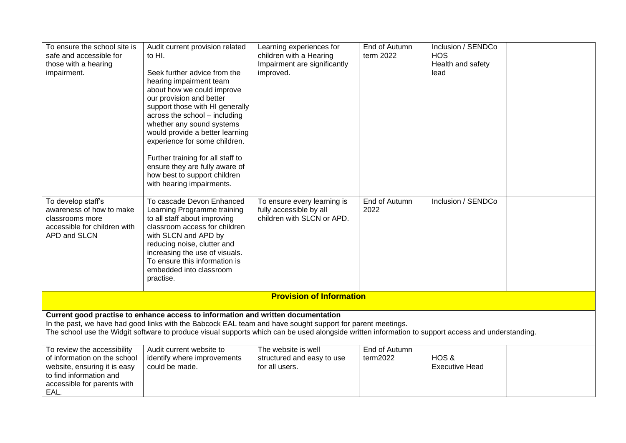| To ensure the school site is<br>safe and accessible for<br>those with a hearing<br>impairment.                                                                                                                                                                                                                                                       | Audit current provision related<br>to HI.<br>Seek further advice from the<br>hearing impairment team<br>about how we could improve<br>our provision and better<br>support those with HI generally<br>across the school - including<br>whether any sound systems<br>would provide a better learning<br>experience for some children.<br>Further training for all staff to<br>ensure they are fully aware of<br>how best to support children<br>with hearing impairments. | Learning experiences for<br>children with a Hearing<br>Impairment are significantly<br>improved. | End of Autumn<br>term 2022 | Inclusion / SENDCo<br><b>HOS</b><br>Health and safety<br>lead |  |  |
|------------------------------------------------------------------------------------------------------------------------------------------------------------------------------------------------------------------------------------------------------------------------------------------------------------------------------------------------------|-------------------------------------------------------------------------------------------------------------------------------------------------------------------------------------------------------------------------------------------------------------------------------------------------------------------------------------------------------------------------------------------------------------------------------------------------------------------------|--------------------------------------------------------------------------------------------------|----------------------------|---------------------------------------------------------------|--|--|
| To develop staff's<br>awareness of how to make<br>classrooms more<br>accessible for children with<br>APD and SLCN                                                                                                                                                                                                                                    | To cascade Devon Enhanced<br>Learning Programme training<br>to all staff about improving<br>classroom access for children<br>with SLCN and APD by<br>reducing noise, clutter and<br>increasing the use of visuals.<br>To ensure this information is<br>embedded into classroom<br>practise.                                                                                                                                                                             | To ensure every learning is<br>fully accessible by all<br>children with SLCN or APD.             | End of Autumn<br>2022      | Inclusion / SENDCo                                            |  |  |
|                                                                                                                                                                                                                                                                                                                                                      |                                                                                                                                                                                                                                                                                                                                                                                                                                                                         | <b>Provision of Information</b>                                                                  |                            |                                                               |  |  |
| Current good practise to enhance access to information and written documentation<br>In the past, we have had good links with the Babcock EAL team and have sought support for parent meetings.<br>The school use the Widgit software to produce visual supports which can be used alongside written information to support access and understanding. |                                                                                                                                                                                                                                                                                                                                                                                                                                                                         |                                                                                                  |                            |                                                               |  |  |
| To review the accessibility<br>of information on the school<br>website, ensuring it is easy<br>to find information and<br>accessible for parents with<br>EAL.                                                                                                                                                                                        | Audit current website to<br>identify where improvements<br>could be made.                                                                                                                                                                                                                                                                                                                                                                                               | The website is well<br>structured and easy to use<br>for all users.                              | End of Autumn<br>term2022  | HOS&<br><b>Executive Head</b>                                 |  |  |